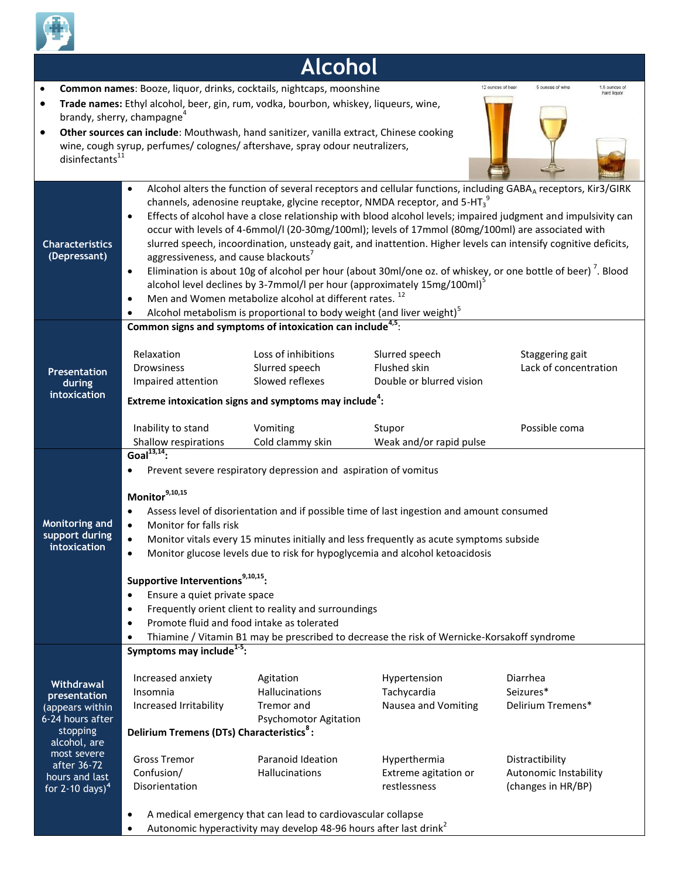

## **Alcohol**

12 nunces of bee

5 ounces of wine

- **Common names**: Booze, liquor, drinks, cocktails, nightcaps, moonshine
- **Trade names:** Ethyl alcohol, beer, gin, rum, vodka, bourbon, whiskey, liqueurs, wine, brandy, sherry, champagne<sup>4</sup>
- **Other sources can include**: Mouthwash, hand sanitizer, vanilla extract, Chinese cooking wine, cough syrup, perfumes/ colognes/ aftershave, spray odour neutralizers, disinfectants<sup>1</sup>

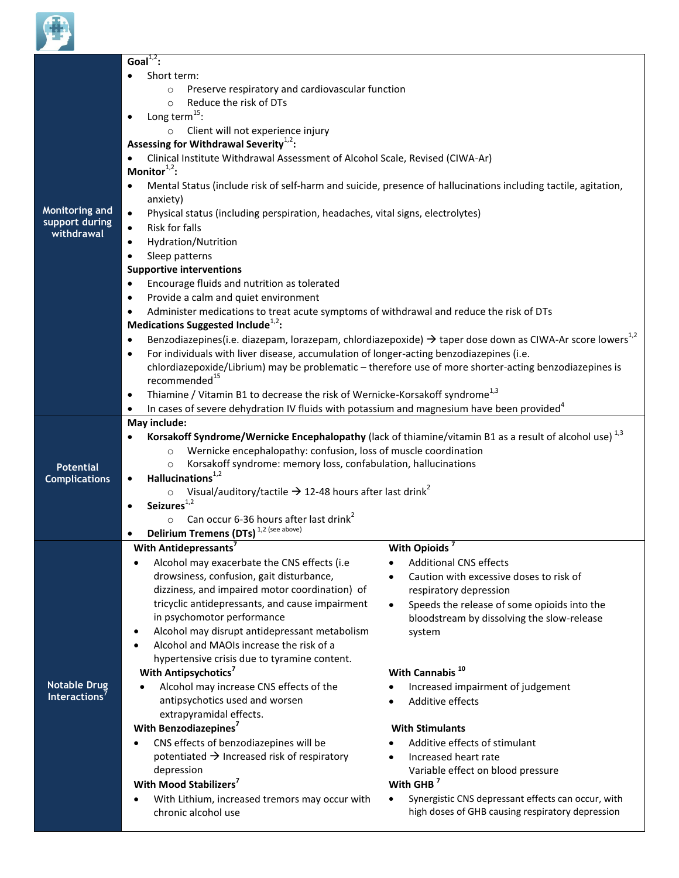

|                                                       | Goal <sup><math>1,2</math></sup> :                                                                                              |                                                                                                                                  |  |
|-------------------------------------------------------|---------------------------------------------------------------------------------------------------------------------------------|----------------------------------------------------------------------------------------------------------------------------------|--|
| <b>Monitoring and</b><br>support during<br>withdrawal | Short term:                                                                                                                     |                                                                                                                                  |  |
|                                                       | Preserve respiratory and cardiovascular function<br>$\circ$                                                                     |                                                                                                                                  |  |
|                                                       | Reduce the risk of DTs<br>$\circ$                                                                                               |                                                                                                                                  |  |
|                                                       | Long term <sup>15</sup> :<br>$\bullet$                                                                                          |                                                                                                                                  |  |
|                                                       | Client will not experience injury                                                                                               |                                                                                                                                  |  |
|                                                       | Assessing for Withdrawal Severity <sup>1,2</sup> :                                                                              |                                                                                                                                  |  |
|                                                       | Clinical Institute Withdrawal Assessment of Alcohol Scale, Revised (CIWA-Ar)<br>$\bullet$                                       |                                                                                                                                  |  |
|                                                       | Monitor $1,2$ :                                                                                                                 |                                                                                                                                  |  |
|                                                       | $\bullet$                                                                                                                       | Mental Status (include risk of self-harm and suicide, presence of hallucinations including tactile, agitation,                   |  |
|                                                       | anxiety)                                                                                                                        |                                                                                                                                  |  |
|                                                       | Physical status (including perspiration, headaches, vital signs, electrolytes)<br>$\bullet$                                     |                                                                                                                                  |  |
|                                                       | Risk for falls<br>$\bullet$                                                                                                     |                                                                                                                                  |  |
|                                                       | Hydration/Nutrition<br>$\bullet$                                                                                                |                                                                                                                                  |  |
|                                                       | Sleep patterns<br>$\bullet$                                                                                                     |                                                                                                                                  |  |
|                                                       | <b>Supportive interventions</b>                                                                                                 |                                                                                                                                  |  |
|                                                       | Encourage fluids and nutrition as tolerated<br>$\bullet$                                                                        |                                                                                                                                  |  |
|                                                       | Provide a calm and quiet environment<br>$\bullet$                                                                               |                                                                                                                                  |  |
|                                                       | Administer medications to treat acute symptoms of withdrawal and reduce the risk of DTs<br>$\bullet$                            |                                                                                                                                  |  |
|                                                       | Medications Suggested Include <sup>1,2</sup> :                                                                                  |                                                                                                                                  |  |
|                                                       | $\bullet$                                                                                                                       | Benzodiazepines(i.e. diazepam, lorazepam, chlordiazepoxide) $\rightarrow$ taper dose down as CIWA-Ar score lowers <sup>1,2</sup> |  |
|                                                       | For individuals with liver disease, accumulation of longer-acting benzodiazepines (i.e.<br>$\bullet$                            |                                                                                                                                  |  |
|                                                       | chlordiazepoxide/Librium) may be problematic - therefore use of more shorter-acting benzodiazepines is                          |                                                                                                                                  |  |
|                                                       | recommended <sup>15</sup>                                                                                                       |                                                                                                                                  |  |
|                                                       | Thiamine / Vitamin B1 to decrease the risk of Wernicke-Korsakoff syndrome <sup>1,3</sup><br>$\bullet$                           |                                                                                                                                  |  |
|                                                       | In cases of severe dehydration IV fluids with potassium and magnesium have been provided <sup>4</sup><br>$\bullet$              |                                                                                                                                  |  |
|                                                       | May include:                                                                                                                    |                                                                                                                                  |  |
|                                                       | Korsakoff Syndrome/Wernicke Encephalopathy (lack of thiamine/vitamin B1 as a result of alcohol use) <sup>1,3</sup><br>$\bullet$ |                                                                                                                                  |  |
|                                                       | Wernicke encephalopathy: confusion, loss of muscle coordination<br>$\circ$                                                      |                                                                                                                                  |  |
| <b>Potential</b>                                      | Korsakoff syndrome: memory loss, confabulation, hallucinations<br>$\circ$                                                       |                                                                                                                                  |  |
| <b>Complications</b>                                  | Hallucinations $1,2$<br>$\bullet$                                                                                               |                                                                                                                                  |  |
|                                                       | Visual/auditory/tactile $\rightarrow$ 12-48 hours after last drink <sup>2</sup><br>$\circ$                                      |                                                                                                                                  |  |
|                                                       | Seizures $^{1,2}$<br>$\bullet$                                                                                                  |                                                                                                                                  |  |
|                                                       | Can occur 6-36 hours after last drink <sup>2</sup><br>$\circ$                                                                   |                                                                                                                                  |  |
|                                                       | Delirium Tremens (DTs) <sup>1,2 (see above)</sup><br>$\bullet$<br>With Antidepressants <sup>7</sup>                             |                                                                                                                                  |  |
|                                                       |                                                                                                                                 | With Opioids <sup>7</sup>                                                                                                        |  |
|                                                       | Alcohol may exacerbate the CNS effects (i.e<br>drowsiness, confusion, gait disturbance,                                         | <b>Additional CNS effects</b><br>Caution with excessive doses to risk of                                                         |  |
|                                                       | dizziness, and impaired motor coordination) of                                                                                  | $\bullet$<br>respiratory depression                                                                                              |  |
|                                                       | tricyclic antidepressants, and cause impairment                                                                                 | Speeds the release of some opioids into the<br>$\bullet$                                                                         |  |
|                                                       | in psychomotor performance                                                                                                      | bloodstream by dissolving the slow-release                                                                                       |  |
|                                                       | Alcohol may disrupt antidepressant metabolism                                                                                   | system                                                                                                                           |  |
|                                                       | Alcohol and MAOIs increase the risk of a                                                                                        |                                                                                                                                  |  |
| <b>Notable Drug</b><br>Interactions <sup>7</sup>      | hypertensive crisis due to tyramine content.                                                                                    |                                                                                                                                  |  |
|                                                       | With Antipsychotics <sup>7</sup>                                                                                                | With Cannabis <sup>10</sup>                                                                                                      |  |
|                                                       | Alcohol may increase CNS effects of the                                                                                         | Increased impairment of judgement                                                                                                |  |
|                                                       | antipsychotics used and worsen                                                                                                  | Additive effects                                                                                                                 |  |
|                                                       | extrapyramidal effects.                                                                                                         |                                                                                                                                  |  |
|                                                       | With Benzodiazepines <sup>7</sup>                                                                                               | <b>With Stimulants</b>                                                                                                           |  |
|                                                       | CNS effects of benzodiazepines will be                                                                                          | Additive effects of stimulant                                                                                                    |  |
|                                                       | potentiated $\rightarrow$ Increased risk of respiratory                                                                         | Increased heart rate<br>$\bullet$                                                                                                |  |
|                                                       | depression                                                                                                                      | Variable effect on blood pressure                                                                                                |  |
|                                                       | With Mood Stabilizers <sup>7</sup>                                                                                              | With GHB <sup>7</sup>                                                                                                            |  |
|                                                       | With Lithium, increased tremors may occur with                                                                                  | Synergistic CNS depressant effects can occur, with<br>$\bullet$                                                                  |  |
|                                                       | chronic alcohol use                                                                                                             | high doses of GHB causing respiratory depression                                                                                 |  |
|                                                       |                                                                                                                                 |                                                                                                                                  |  |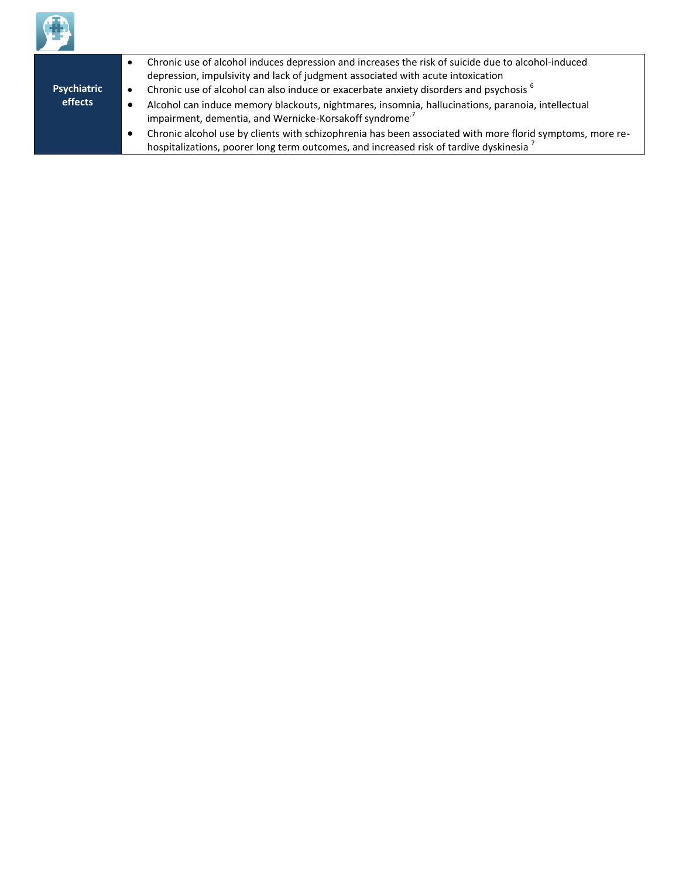

|                        |           | Chronic use of alcohol induces depression and increases the risk of suicide due to alcohol-induced<br>depression, impulsivity and lack of judgment associated with acute intoxication |
|------------------------|-----------|---------------------------------------------------------------------------------------------------------------------------------------------------------------------------------------|
| Psychiatric<br>effects | $\bullet$ | Chronic use of alcohol can also induce or exacerbate anxiety disorders and psychosis <sup>6</sup>                                                                                     |
|                        |           | Alcohol can induce memory blackouts, nightmares, insomnia, hallucinations, paranoia, intellectual<br>impairment, dementia, and Wernicke-Korsakoff syndrome <sup>7</sup>               |
|                        |           | Chronic alcohol use by clients with schizophrenia has been associated with more florid symptoms, more re-                                                                             |
|                        |           | hospitalizations, poorer long term outcomes, and increased risk of tardive dyskinesia                                                                                                 |